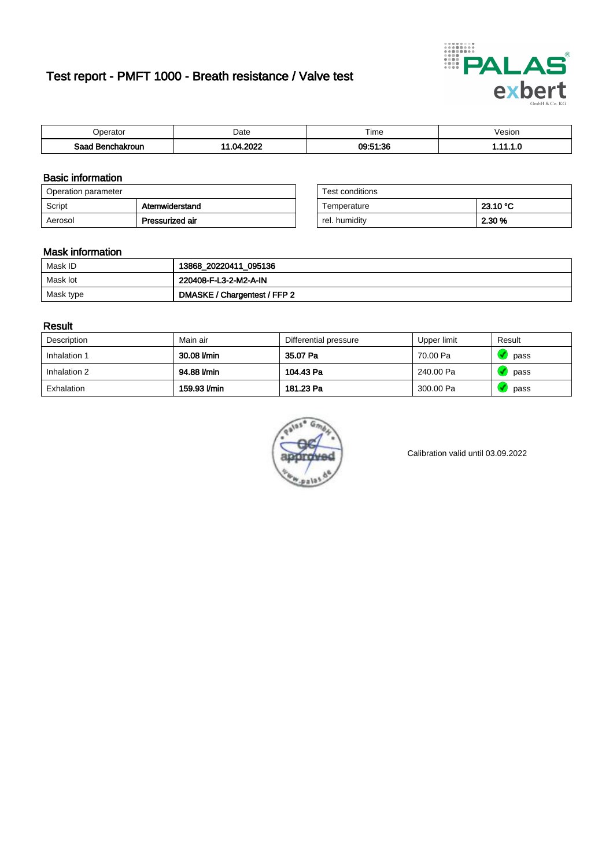# Test report - PMFT 1000 - Breath resistance / Valve test



| )perator               | Date            | $- \cdot$<br>Гіmе | esion |
|------------------------|-----------------|-------------------|-------|
| המס<br>hakroun<br>32 H | 2022<br>n.<br>. | 09:51:36          | .     |

### Basic information

| Operation parameter |                 | Test conditions |          |
|---------------------|-----------------|-----------------|----------|
| Script              | Atemwiderstand  | Temperature     | 23.10 °C |
| Aerosol             | Pressurized air | rel. humidity   | 2.30 %   |

| Test conditions |          |
|-----------------|----------|
| Temperature     | 23.10 °C |
| rel. humidity   | 2.30 %   |

### Mask information

| Mask ID   | 13868_20220411_095136        |
|-----------|------------------------------|
| Mask lot  | 220408-F-L3-2-M2-A-IN        |
| Mask type | DMASKE / Chargentest / FFP 2 |

### Result

| Description  | Main air     | Differential pressure | Upper limit | Result |
|--------------|--------------|-----------------------|-------------|--------|
| Inhalation 1 | 30.08 l/min  | 35.07 Pa              | 70.00 Pa    | pass   |
| Inhalation 2 | 94.88 l/min  | 104.43 Pa             | 240.00 Pa   | pass   |
| Exhalation   | 159.93 l/min | 181.23 Pa             | 300.00 Pa   | pass   |



Calibration valid until 03.09.2022